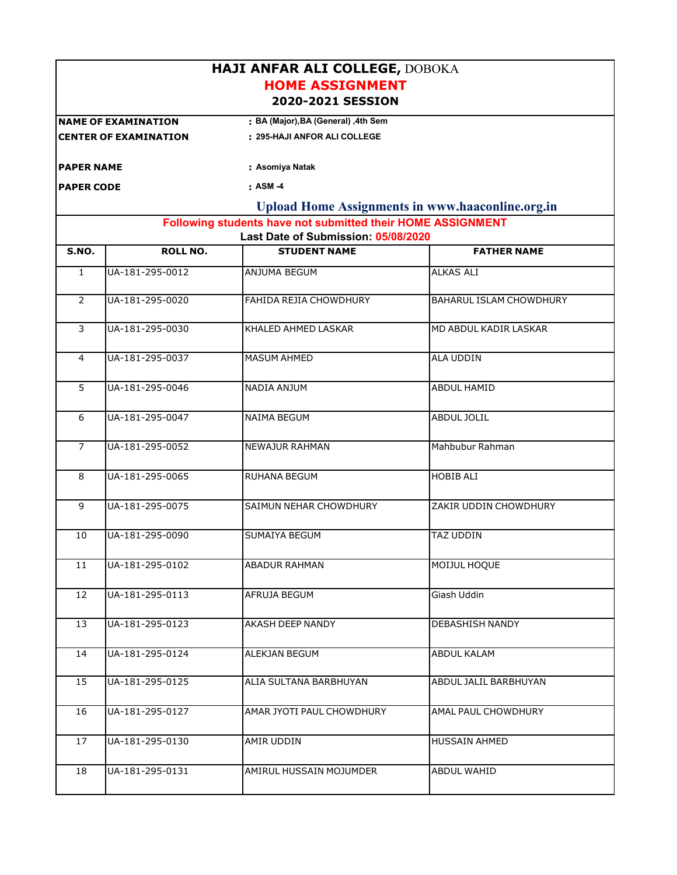| <b>HAJI ANFAR ALI COLLEGE, DOBOKA</b><br><b>HOME ASSIGNMENT</b><br>2020-2021 SESSION               |                              |                                      |                                                         |  |  |  |  |
|----------------------------------------------------------------------------------------------------|------------------------------|--------------------------------------|---------------------------------------------------------|--|--|--|--|
|                                                                                                    | <b>NAME OF EXAMINATION</b>   | : BA (Major), BA (General) , 4th Sem |                                                         |  |  |  |  |
|                                                                                                    | <b>CENTER OF EXAMINATION</b> | : 295-HAJI ANFOR ALI COLLEGE         |                                                         |  |  |  |  |
| <b>PAPER NAME</b>                                                                                  |                              | : Asomiya Natak                      |                                                         |  |  |  |  |
| <b>PAPER CODE</b>                                                                                  |                              | : ASM -4                             |                                                         |  |  |  |  |
|                                                                                                    |                              |                                      | <b>Upload Home Assignments in www.haaconline.org.in</b> |  |  |  |  |
| Following students have not submitted their HOME ASSIGNMENT<br>Last Date of Submission: 05/08/2020 |                              |                                      |                                                         |  |  |  |  |
| S.NO.                                                                                              | <b>ROLL NO.</b>              | <b>STUDENT NAME</b>                  | <b>FATHER NAME</b>                                      |  |  |  |  |
| $\mathbf{1}$                                                                                       | UA-181-295-0012              | ANJUMA BEGUM                         | <b>ALKAS ALI</b>                                        |  |  |  |  |
| $\overline{2}$                                                                                     | UA-181-295-0020              | FAHIDA REJIA CHOWDHURY               | BAHARUL ISLAM CHOWDHURY                                 |  |  |  |  |
| 3                                                                                                  | UA-181-295-0030              | KHALED AHMED LASKAR                  | MD ABDUL KADIR LASKAR                                   |  |  |  |  |
| 4                                                                                                  | UA-181-295-0037              | <b>MASUM AHMED</b>                   | <b>ALA UDDIN</b>                                        |  |  |  |  |
| 5                                                                                                  | UA-181-295-0046              | NADIA ANJUM                          | <b>ABDUL HAMID</b>                                      |  |  |  |  |
| 6                                                                                                  | UA-181-295-0047              | NAIMA BEGUM                          | <b>ABDUL JOLIL</b>                                      |  |  |  |  |
| $\overline{7}$                                                                                     | UA-181-295-0052              | NEWAJUR RAHMAN                       | Mahbubur Rahman                                         |  |  |  |  |
| 8                                                                                                  | UA-181-295-0065              | RUHANA BEGUM                         | <b>HOBIB ALI</b>                                        |  |  |  |  |
| 9                                                                                                  | UA-181-295-0075              | SAIMUN NEHAR CHOWDHURY               | ZAKIR UDDIN CHOWDHURY                                   |  |  |  |  |
| 10                                                                                                 | UA-181-295-0090              | <b>SUMAIYA BEGUM</b>                 | <b>TAZ UDDIN</b>                                        |  |  |  |  |
| 11                                                                                                 | UA-181-295-0102              | ABADUR RAHMAN                        | MOIJUL HOQUE                                            |  |  |  |  |
| 12                                                                                                 | UA-181-295-0113              | AFRUJA BEGUM                         | Giash Uddin                                             |  |  |  |  |
| 13                                                                                                 | UA-181-295-0123              | AKASH DEEP NANDY                     | DEBASHISH NANDY                                         |  |  |  |  |
| 14                                                                                                 | UA-181-295-0124              | ALEKJAN BEGUM                        | <b>ABDUL KALAM</b>                                      |  |  |  |  |
| 15                                                                                                 | UA-181-295-0125              | ALIA SULTANA BARBHUYAN               | ABDUL JALIL BARBHUYAN                                   |  |  |  |  |
| 16                                                                                                 | UA-181-295-0127              | AMAR JYOTI PAUL CHOWDHURY            | AMAL PAUL CHOWDHURY                                     |  |  |  |  |
| 17                                                                                                 | UA-181-295-0130              | AMIR UDDIN                           | <b>HUSSAIN AHMED</b>                                    |  |  |  |  |
| 18                                                                                                 | UA-181-295-0131              | AMIRUL HUSSAIN MOJUMDER              | ABDUL WAHID                                             |  |  |  |  |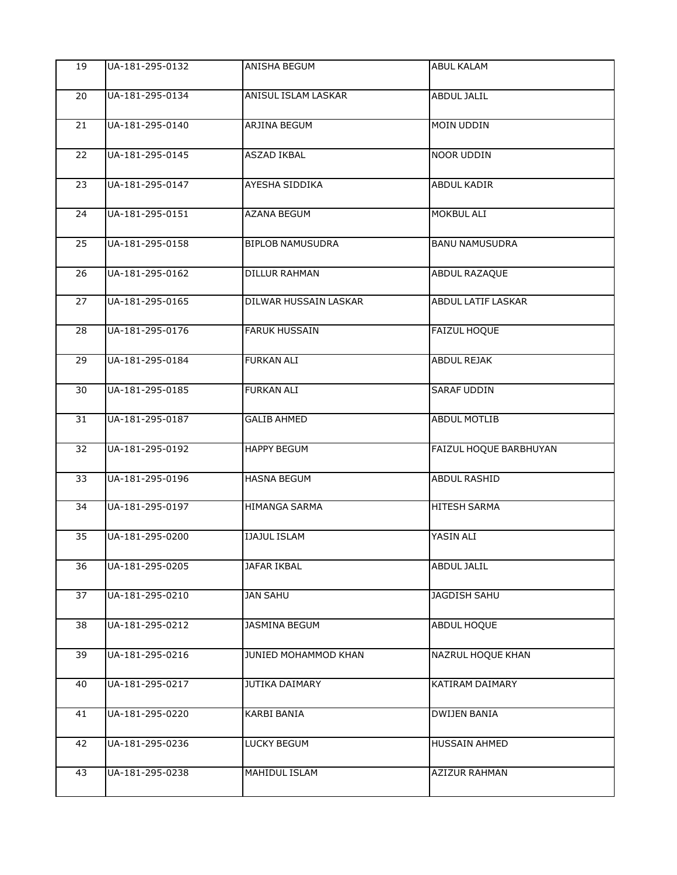| 19              | UA-181-295-0132 | ANISHA BEGUM            | <b>ABUL KALAM</b>        |
|-----------------|-----------------|-------------------------|--------------------------|
| 20              | UA-181-295-0134 | ANISUL ISLAM LASKAR     | <b>ABDUL JALIL</b>       |
| 21              | UA-181-295-0140 | ARJINA BEGUM            | MOIN UDDIN               |
| 22              | UA-181-295-0145 | ASZAD IKBAL             | NOOR UDDIN               |
| 23              | UA-181-295-0147 | AYESHA SIDDIKA          | ABDUL KADIR              |
| 24              | UA-181-295-0151 | AZANA BEGUM             | <b>MOKBUL ALI</b>        |
| $\overline{25}$ | UA-181-295-0158 | <b>BIPLOB NAMUSUDRA</b> | <b>BANU NAMUSUDRA</b>    |
| 26              | UA-181-295-0162 | <b>DILLUR RAHMAN</b>    | ABDUL RAZAQUE            |
| 27              | UA-181-295-0165 | DILWAR HUSSAIN LASKAR   | ABDUL LATIF LASKAR       |
| 28              | UA-181-295-0176 | <b>FARUK HUSSAIN</b>    | <b>FAIZUL HOQUE</b>      |
| $\overline{29}$ | UA-181-295-0184 | <b>FURKAN ALI</b>       | <b>ABDUL REJAK</b>       |
| $\overline{30}$ | UA-181-295-0185 | <b>FURKAN ALI</b>       | <b>SARAF UDDIN</b>       |
| 31              | UA-181-295-0187 | <b>GALIB AHMED</b>      | <b>ABDUL MOTLIB</b>      |
| $\overline{32}$ | UA-181-295-0192 | <b>HAPPY BEGUM</b>      | FAIZUL HOQUE BARBHUYAN   |
| 33              | UA-181-295-0196 | <b>HASNA BEGUM</b>      | ABDUL RASHID             |
| 34              | UA-181-295-0197 | <b>HIMANGA SARMA</b>    | <b>HITESH SARMA</b>      |
| 35              | UA-181-295-0200 | <b>IJAJUL ISLAM</b>     | YASIN ALI                |
| 36              | UA-181-295-0205 | JAFAR IKBAL             | ABDUL JALIL              |
| 37              | UA-181-295-0210 | <b>JAN SAHU</b>         | JAGDISH SAHU             |
| 38              | UA-181-295-0212 | JASMINA BEGUM           | ABDUL HOQUE              |
| 39              | UA-181-295-0216 | JUNIED MOHAMMOD KHAN    | <b>NAZRUL HOQUE KHAN</b> |
| 40              | UA-181-295-0217 | JUTIKA DAIMARY          | KATIRAM DAIMARY          |
| 41              | UA-181-295-0220 | KARBI BANIA             | <b>DWIJEN BANIA</b>      |
| 42              | UA-181-295-0236 | LUCKY BEGUM             | HUSSAIN AHMED            |
| 43              | UA-181-295-0238 | MAHIDUL ISLAM           | AZIZUR RAHMAN            |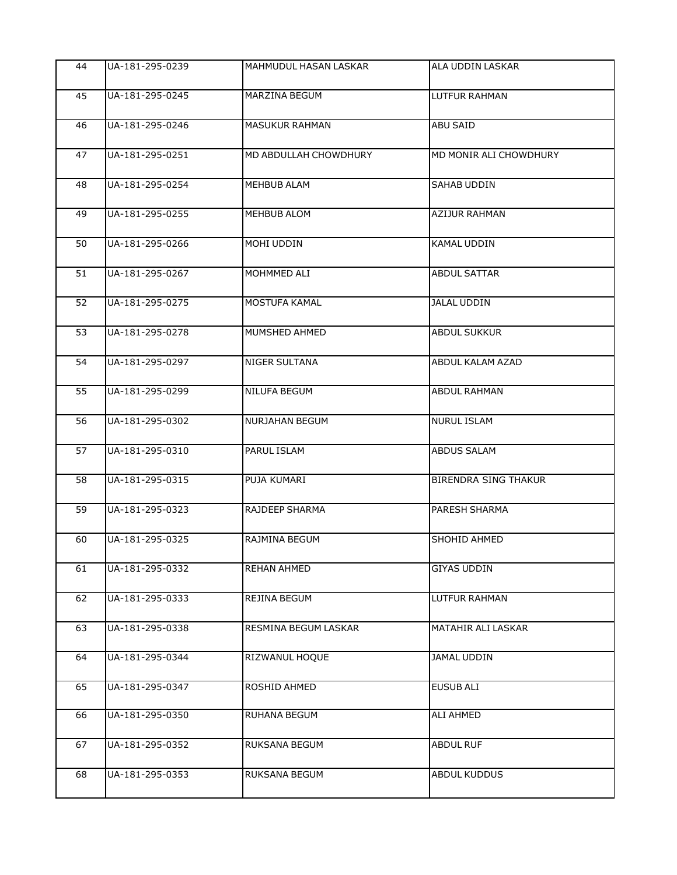| 44 | UA-181-295-0239 | MAHMUDUL HASAN LASKAR | ALA UDDIN LASKAR            |
|----|-----------------|-----------------------|-----------------------------|
| 45 | UA-181-295-0245 | MARZINA BEGUM         | <b>LUTFUR RAHMAN</b>        |
| 46 | UA-181-295-0246 | <b>MASUKUR RAHMAN</b> | ABU SAID                    |
| 47 | UA-181-295-0251 | MD ABDULLAH CHOWDHURY | MD MONIR ALI CHOWDHURY      |
| 48 | UA-181-295-0254 | <b>MEHBUB ALAM</b>    | <b>SAHAB UDDIN</b>          |
| 49 | UA-181-295-0255 | MEHBUB ALOM           | <b>AZIJUR RAHMAN</b>        |
| 50 | UA-181-295-0266 | MOHI UDDIN            | KAMAL UDDIN                 |
| 51 | UA-181-295-0267 | MOHMMED ALI           | <b>ABDUL SATTAR</b>         |
| 52 | UA-181-295-0275 | MOSTUFA KAMAL         | <b>JALAL UDDIN</b>          |
| 53 | UA-181-295-0278 | MUMSHED AHMED         | <b>ABDUL SUKKUR</b>         |
| 54 | UA-181-295-0297 | <b>NIGER SULTANA</b>  | ABDUL KALAM AZAD            |
| 55 | UA-181-295-0299 | NILUFA BEGUM          | <b>ABDUL RAHMAN</b>         |
| 56 | UA-181-295-0302 | <b>NURJAHAN BEGUM</b> | <b>NURUL ISLAM</b>          |
| 57 | UA-181-295-0310 | PARUL ISLAM           | <b>ABDUS SALAM</b>          |
| 58 | UA-181-295-0315 | PUJA KUMARI           | <b>BIRENDRA SING THAKUR</b> |
| 59 | UA-181-295-0323 | RAJDEEP SHARMA        | PARESH SHARMA               |
| 60 | UA-181-295-0325 | RAJMINA BEGUM         | SHOHID AHMED                |
| 61 | UA-181-295-0332 | <b>REHAN AHMED</b>    | <b>GIYAS UDDIN</b>          |
| 62 | UA-181-295-0333 | REJINA BEGUM          | LUTFUR RAHMAN               |
| 63 | UA-181-295-0338 | RESMINA BEGUM LASKAR  | MATAHIR ALI LASKAR          |
| 64 | UA-181-295-0344 | RIZWANUL HOQUE        | JAMAL UDDIN                 |
| 65 | UA-181-295-0347 | ROSHID AHMED          | <b>EUSUB ALI</b>            |
| 66 | UA-181-295-0350 | RUHANA BEGUM          | ALI AHMED                   |
| 67 | UA-181-295-0352 | RUKSANA BEGUM         | <b>ABDUL RUF</b>            |
| 68 | UA-181-295-0353 | RUKSANA BEGUM         | ABDUL KUDDUS                |